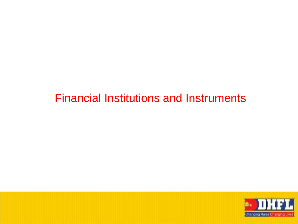#### Financial Institutions and Instruments

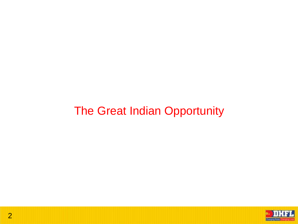#### The Great Indian Opportunity

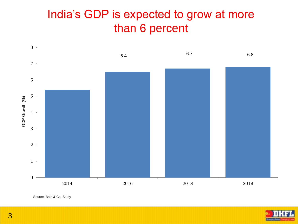#### India's GDP is expected to grow at more than 6 percent



Source: Bain & Co. Study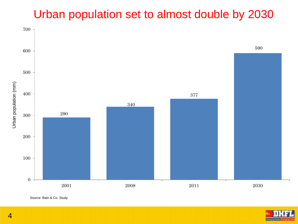## Urban population set to almost double by 2030





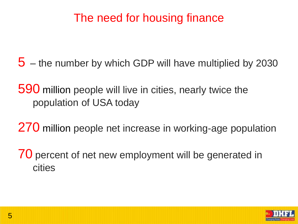## The need for housing finance

5 – the number by which GDP will have multiplied by 2030

590 million people will live in cities, nearly twice the population of USA today

270 million people net increase in working-age population

70 percent of net new employment will be generated in cities

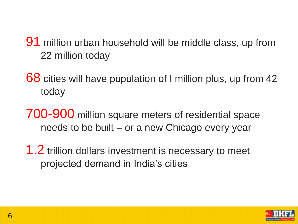- 91 million urban household will be middle class, up from 22 million today
- 68 cities will have population of I million plus, up from 42 today
- 700-900 million square meters of residential space needs to be built – or a new Chicago every year
- 1.2 trillion dollars investment is necessary to meet projected demand in India's cities

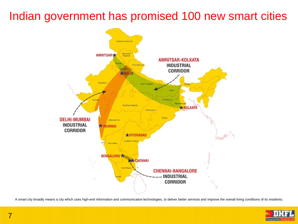## Indian government has promised 100 new smart cities



A smart city broadly means a city which uses high-end information and communication technologies, to deliver better services and improve the overall living conditions of its residents.

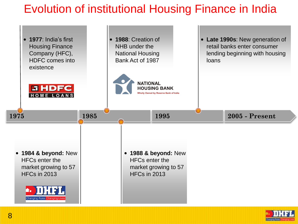# Evolution of institutional Housing Finance in India

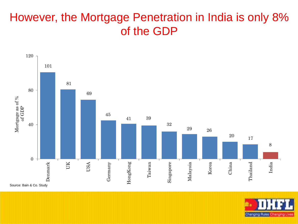## However, the Mortgage Penetration in India is only 8% of the GDP



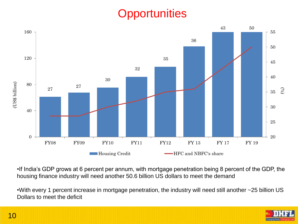# **Opportunities**



•If India's GDP grows at 6 percent per annum, with mortgage penetration being 8 percent of the GDP, the housing finance industry will need another 50.6 billion US dollars to meet the demand

•With every 1 percent increase in mortgage penetration, the industry will need still another ~25 billion US Dollars to meet the deficit

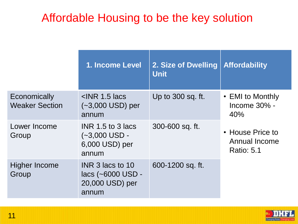## Affordable Housing to be the key solution

|                                       | 1. Income Level                                                   | 2. Size of Dwelling<br><b>Unit</b> | <b>Affordability</b>                                   |
|---------------------------------------|-------------------------------------------------------------------|------------------------------------|--------------------------------------------------------|
| Economically<br><b>Weaker Section</b> | $\leq$ INR 1.5 lacs<br>$(-3,000$ USD) per<br>annum                | Up to 300 sq. ft.                  | • EMI to Monthly<br>Income 30% -<br>40%                |
| Lower Income<br>Group                 | $INR$ 1.5 to 3 lacs<br>$(-3,000$ USD -<br>6,000 USD) per<br>annum | 300-600 sq. ft.                    | • House Price to<br>Annual Income<br><b>Ratio: 5.1</b> |
| Higher Income<br>Group                | INR 3 lacs to 10<br>lacs (~6000 USD -<br>20,000 USD) per<br>annum | 600-1200 sq. ft.                   |                                                        |

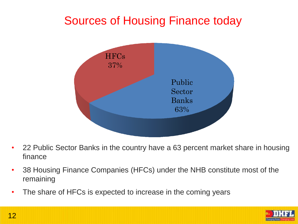# Sources of Housing Finance today



- 22 Public Sector Banks in the country have a 63 percent market share in housing finance
- 38 Housing Finance Companies (HFCs) under the NHB constitute most of the remaining
- The share of HFCs is expected to increase in the coming years

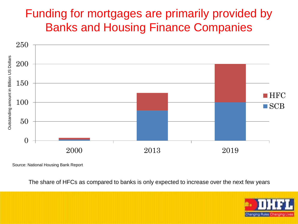### Funding for mortgages are primarily provided by Banks and Housing Finance Companies



Source: National Housing Bank Report

The share of HFCs as compared to banks is only expected to increase over the next few years

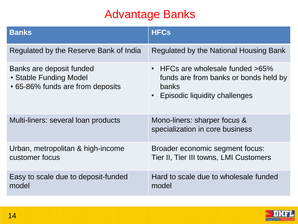# Advantage Banks

| <b>Banks</b>                                                                           | <b>HFCs</b>                                                                                                                                        |
|----------------------------------------------------------------------------------------|----------------------------------------------------------------------------------------------------------------------------------------------------|
| Regulated by the Reserve Bank of India                                                 | Regulated by the National Housing Bank                                                                                                             |
| Banks are deposit funded<br>• Stable Funding Model<br>• 65-86% funds are from deposits | HFCs are wholesale funded >65%<br>$\bullet$<br>funds are from banks or bonds held by<br>banks<br><b>Episodic liquidity challenges</b><br>$\bullet$ |
| Multi-liners: several loan products                                                    | Mono-liners: sharper focus &<br>specialization in core business                                                                                    |
| Urban, metropolitan & high-income<br>customer focus                                    | Broader economic segment focus:<br>Tier II, Tier III towns, LMI Customers                                                                          |
| Easy to scale due to deposit-funded<br>model                                           | Hard to scale due to wholesale funded<br>model                                                                                                     |

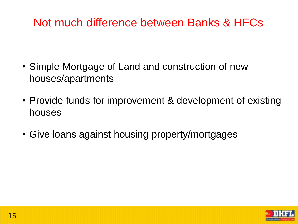## Not much difference between Banks & HFCs

- Simple Mortgage of Land and construction of new houses/apartments
- Provide funds for improvement & development of existing houses
- Give loans against housing property/mortgages

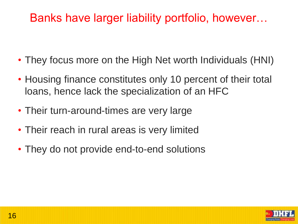## Banks have larger liability portfolio, however…

- They focus more on the High Net worth Individuals (HNI)
- Housing finance constitutes only 10 percent of their total loans, hence lack the specialization of an HFC
- Their turn-around-times are very large
- Their reach in rural areas is very limited
- They do not provide end-to-end solutions

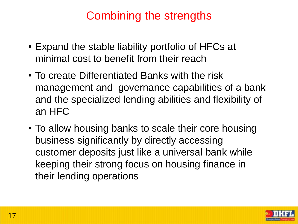## Combining the strengths

- Expand the stable liability portfolio of HFCs at minimal cost to benefit from their reach
- To create Differentiated Banks with the risk management and governance capabilities of a bank and the specialized lending abilities and flexibility of an HFC
- To allow housing banks to scale their core housing business significantly by directly accessing customer deposits just like a universal bank while keeping their strong focus on housing finance in their lending operations

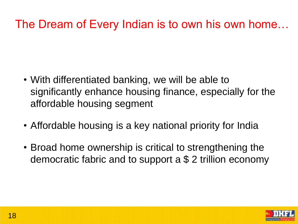# The Dream of Every Indian is to own his own home…

- With differentiated banking, we will be able to significantly enhance housing finance, especially for the affordable housing segment
- Affordable housing is a key national priority for India
- Broad home ownership is critical to strengthening the democratic fabric and to support a \$ 2 trillion economy